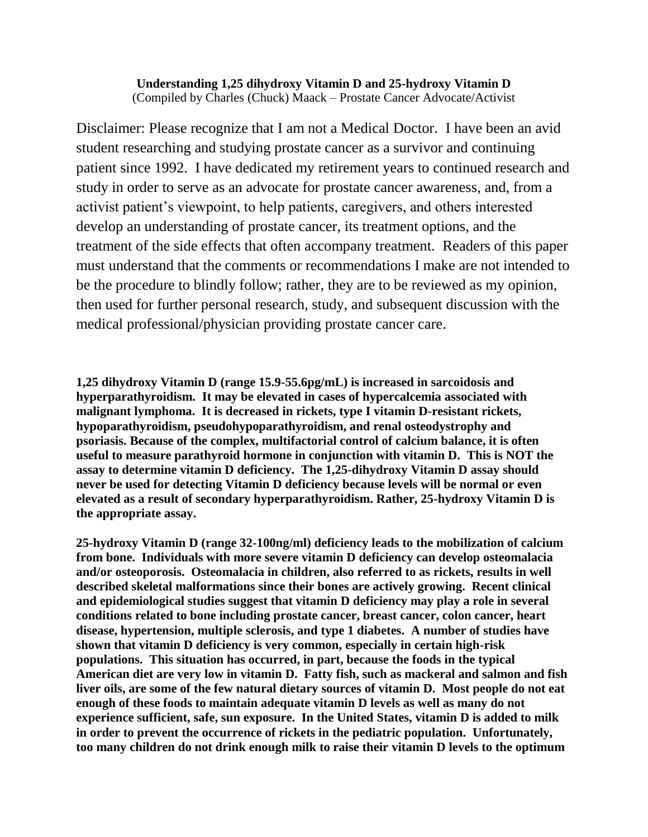## **Understanding 1,25 dihydroxy Vitamin D and 25-hydroxy Vitamin D** (Compiled by Charles (Chuck) Maack – Prostate Cancer Advocate/Activist

Disclaimer: Please recognize that I am not a Medical Doctor. I have been an avid student researching and studying prostate cancer as a survivor and continuing patient since 1992. I have dedicated my retirement years to continued research and study in order to serve as an advocate for prostate cancer awareness, and, from a activist patient's viewpoint, to help patients, caregivers, and others interested develop an understanding of prostate cancer, its treatment options, and the treatment of the side effects that often accompany treatment. Readers of this paper must understand that the comments or recommendations I make are not intended to be the procedure to blindly follow; rather, they are to be reviewed as my opinion, then used for further personal research, study, and subsequent discussion with the medical professional/physician providing prostate cancer care.

**1,25 dihydroxy Vitamin D (range 15.9-55.6pg/mL) is increased in sarcoidosis and hyperparathyroidism. It may be elevated in cases of hypercalcemia associated with malignant lymphoma. It is decreased in rickets, type I vitamin D-resistant rickets, hypoparathyroidism, pseudohypoparathyroidism, and renal osteodystrophy and psoriasis. Because of the complex, multifactorial control of calcium balance, it is often useful to measure parathyroid hormone in conjunction with vitamin D. This is NOT the assay to determine vitamin D deficiency. The 1,25-dihydroxy Vitamin D assay should never be used for detecting Vitamin D deficiency because levels will be normal or even elevated as a result of secondary hyperparathyroidism. Rather, 25-hydroxy Vitamin D is the appropriate assay.**

**25-hydroxy Vitamin D (range 32-100ng/ml) deficiency leads to the mobilization of calcium from bone. Individuals with more severe vitamin D deficiency can develop osteomalacia and/or osteoporosis. Osteomalacia in children, also referred to as rickets, results in well described skeletal malformations since their bones are actively growing. Recent clinical and epidemiological studies suggest that vitamin D deficiency may play a role in several conditions related to bone including prostate cancer, breast cancer, colon cancer, heart disease, hypertension, multiple sclerosis, and type 1 diabetes. A number of studies have shown that vitamin D deficiency is very common, especially in certain high-risk populations. This situation has occurred, in part, because the foods in the typical American diet are very low in vitamin D. Fatty fish, such as mackeral and salmon and fish liver oils, are some of the few natural dietary sources of vitamin D. Most people do not eat enough of these foods to maintain adequate vitamin D levels as well as many do not experience sufficient, safe, sun exposure. In the United States, vitamin D is added to milk in order to prevent the occurrence of rickets in the pediatric population. Unfortunately, too many children do not drink enough milk to raise their vitamin D levels to the optimum**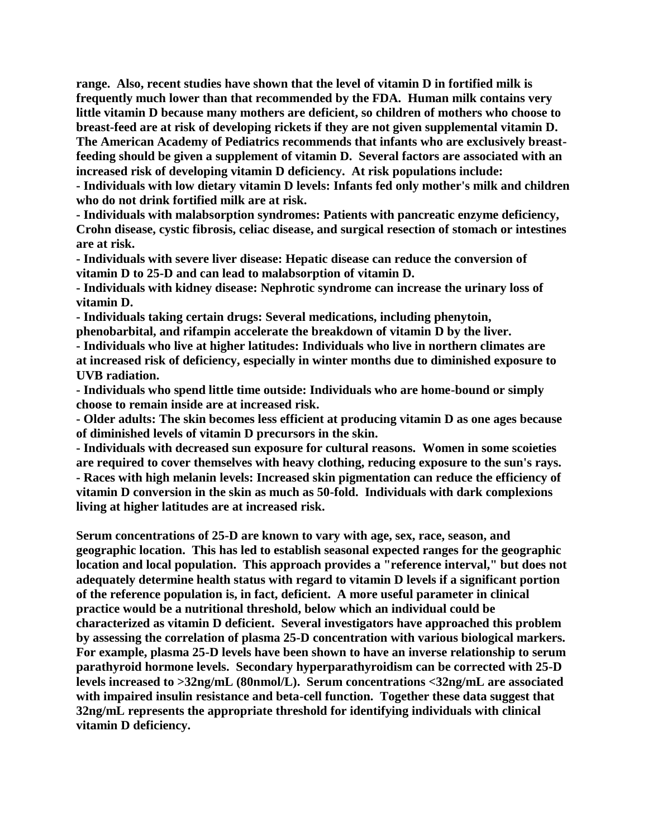**range. Also, recent studies have shown that the level of vitamin D in fortified milk is frequently much lower than that recommended by the FDA. Human milk contains very little vitamin D because many mothers are deficient, so children of mothers who choose to breast-feed are at risk of developing rickets if they are not given supplemental vitamin D. The American Academy of Pediatrics recommends that infants who are exclusively breastfeeding should be given a supplement of vitamin D. Several factors are associated with an increased risk of developing vitamin D deficiency. At risk populations include:**

**- Individuals with low dietary vitamin D levels: Infants fed only mother's milk and children who do not drink fortified milk are at risk.**

**- Individuals with malabsorption syndromes: Patients with pancreatic enzyme deficiency, Crohn disease, cystic fibrosis, celiac disease, and surgical resection of stomach or intestines are at risk.**

**- Individuals with severe liver disease: Hepatic disease can reduce the conversion of vitamin D to 25-D and can lead to malabsorption of vitamin D.**

**- Individuals with kidney disease: Nephrotic syndrome can increase the urinary loss of vitamin D.**

**- Individuals taking certain drugs: Several medications, including phenytoin,** 

**phenobarbital, and rifampin accelerate the breakdown of vitamin D by the liver. - Individuals who live at higher latitudes: Individuals who live in northern climates are** 

**at increased risk of deficiency, especially in winter months due to diminished exposure to UVB radiation.**

**- Individuals who spend little time outside: Individuals who are home-bound or simply choose to remain inside are at increased risk.**

**- Older adults: The skin becomes less efficient at producing vitamin D as one ages because of diminished levels of vitamin D precursors in the skin.**

**- Individuals with decreased sun exposure for cultural reasons. Women in some scoieties are required to cover themselves with heavy clothing, reducing exposure to the sun's rays. - Races with high melanin levels: Increased skin pigmentation can reduce the efficiency of vitamin D conversion in the skin as much as 50-fold. Individuals with dark complexions** 

**living at higher latitudes are at increased risk.**

**Serum concentrations of 25-D are known to vary with age, sex, race, season, and geographic location. This has led to establish seasonal expected ranges for the geographic location and local population. This approach provides a "reference interval," but does not adequately determine health status with regard to vitamin D levels if a significant portion of the reference population is, in fact, deficient. A more useful parameter in clinical practice would be a nutritional threshold, below which an individual could be characterized as vitamin D deficient. Several investigators have approached this problem by assessing the correlation of plasma 25-D concentration with various biological markers. For example, plasma 25-D levels have been shown to have an inverse relationship to serum parathyroid hormone levels. Secondary hyperparathyroidism can be corrected with 25-D levels increased to >32ng/mL (80nmol/L). Serum concentrations <32ng/mL are associated with impaired insulin resistance and beta-cell function. Together these data suggest that 32ng/mL represents the appropriate threshold for identifying individuals with clinical vitamin D deficiency.**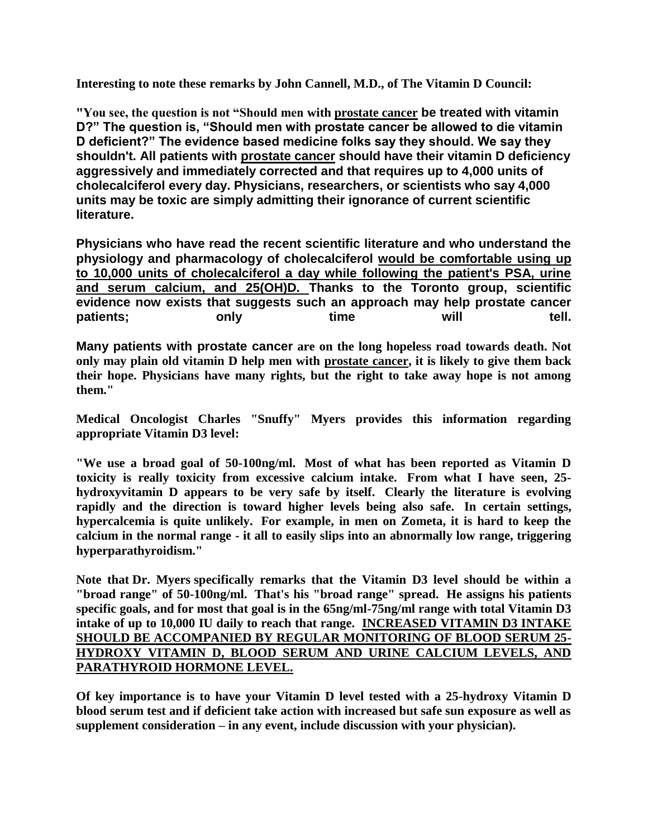**Interesting to note these remarks by John Cannell, M.D., of The Vitamin D Council:**

**"You see, the question is not "Should men with prostate cancer be treated with vitamin D?" The question is, "Should men with prostate cancer be allowed to die vitamin D deficient?" The evidence based medicine folks say they should. We say they shouldn't. All patients with prostate cancer should have their vitamin D deficiency aggressively and immediately corrected and that requires up to 4,000 units of cholecalciferol every day. Physicians, researchers, or scientists who say 4,000 units may be toxic are simply admitting their ignorance of current scientific literature.** 

**Physicians who have read the recent scientific literature and who understand the physiology and pharmacology of cholecalciferol would be comfortable using up to 10,000 units of cholecalciferol a day while following the patient's PSA, urine and serum calcium, and 25(OH)D. Thanks to the Toronto group, scientific evidence now exists that suggests such an approach may help prostate cancer**  patients; only time will tell.

**Many patients with prostate cancer are on the long hopeless road towards death. Not only may plain old vitamin D help men with prostate cancer, it is likely to give them back their hope. Physicians have many rights, but the right to take away hope is not among them."**

**Medical Oncologist Charles "Snuffy" Myers provides this information regarding appropriate Vitamin D3 level:**

**"We use a broad goal of 50-100ng/ml. Most of what has been reported as Vitamin D toxicity is really toxicity from excessive calcium intake. From what I have seen, 25 hydroxyvitamin D appears to be very safe by itself. Clearly the literature is evolving rapidly and the direction is toward higher levels being also safe. In certain settings, hypercalcemia is quite unlikely. For example, in men on Zometa, it is hard to keep the calcium in the normal range - it all to easily slips into an abnormally low range, triggering hyperparathyroidism."**

**Note that Dr. Myers specifically remarks that the Vitamin D3 level should be within a "broad range" of 50-100ng/ml. That's his "broad range" spread. He assigns his patients specific goals, and for most that goal is in the 65ng/ml-75ng/ml range with total Vitamin D3 intake of up to 10,000 IU daily to reach that range. INCREASED VITAMIN D3 INTAKE SHOULD BE ACCOMPANIED BY REGULAR MONITORING OF BLOOD SERUM 25- HYDROXY VITAMIN D, BLOOD SERUM AND URINE CALCIUM LEVELS, AND PARATHYROID HORMONE LEVEL.**

**Of key importance is to have your Vitamin D level tested with a 25-hydroxy Vitamin D blood serum test and if deficient take action with increased but safe sun exposure as well as supplement consideration – in any event, include discussion with your physician).**